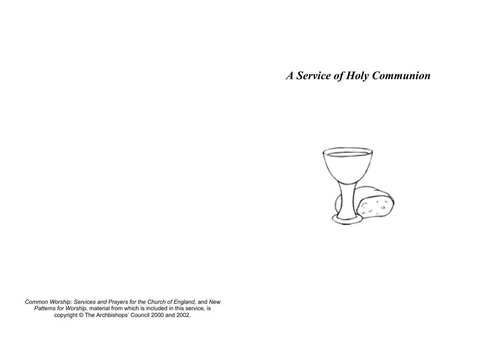*A Service of Holy Communion*



*Common Worship: Services and Prayers for the Church of England,* and *New Patterns for Worship,* material from which is included in this service, is copyright © The Archbishops' Council 2000 and 2002.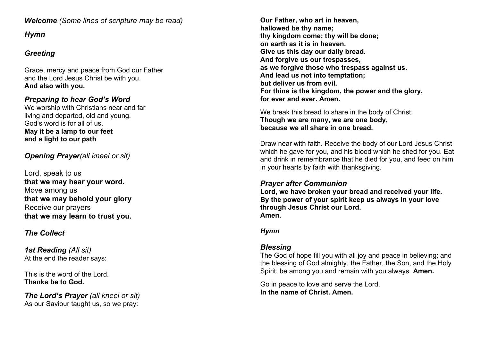## *Welcome (Some lines of scripture may be read)*

*Hymn*

## *Greeting*

Grace, mercy and peace from God our Father and the Lord Jesus Christ be with you. **And also with you.**

## *Preparing to hear God's Word*

We worship with Christians near and far living and departed, old and young. God's word is for all of us. **May it be a lamp to our feet and a light to our path**

# *Opening Prayer(all kneel or sit)*

Lord, speak to us **that we may hear your word.** Move among us **that we may behold your glory** Receive our prayers **that we may learn to trust you.**

# *The Collect*

*1st Reading (All sit)* At the end the reader says:

This is the word of the Lord. **Thanks be to God.**

*The Lord's Prayer (all kneel or sit)* As our Saviour taught us, so we pray:

**Our Father, who art in heaven, hallowed be thy name; thy kingdom come; thy will be done; on earth as it is in heaven. Give us this day our daily bread. And forgive us our trespasses, as we forgive those who trespass against us. And lead us not into temptation; but deliver us from evil. For thine is the kingdom, the power and the glory, for ever and ever. Amen.**

We break this bread to share in the body of Christ. **Though we are many, we are one body, because we all share in one bread.** 

Draw near with faith. Receive the body of our Lord Jesus Christ which he gave for you, and his blood which he shed for you. Eat and drink in remembrance that he died for you, and feed on him in your hearts by faith with thanksgiving.

## *Prayer after Communion*

**Lord, we have broken your bread and received your life. By the power of your spirit keep us always in your love through Jesus Christ our Lord. Amen.**

#### *Hymn*

## *Blessing*

The God of hope fill you with all joy and peace in believing; and the blessing of God almighty, the Father, the Son, and the Holy Spirit, be among you and remain with you always. **Amen.**

Go in peace to love and serve the Lord. **In the name of Christ. Amen.**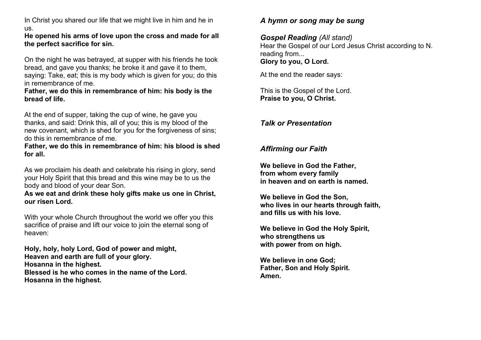In Christ you shared our life that we might live in him and he in us.

**He opened his arms of love upon the cross and made for all the perfect sacrifice for sin.**

On the night he was betrayed, at supper with his friends he took bread, and gave you thanks; he broke it and gave it to them, saying: Take, eat; this is my body which is given for you; do this in remembrance of me.

#### **Father, we do this in remembrance of him: his body is the bread of life.**

At the end of supper, taking the cup of wine, he gave you thanks, and said: Drink this, all of you; this is my blood of the new covenant, which is shed for you for the forgiveness of sins; do this in remembrance of me.

#### **Father, we do this in remembrance of him: his blood is shed for all.**

As we proclaim his death and celebrate his rising in glory, send your Holy Spirit that this bread and this wine may be to us the body and blood of your dear Son.

#### **As we eat and drink these holy gifts make us one in Christ, our risen Lord.**

With your whole Church throughout the world we offer you this sacrifice of praise and lift our voice to join the eternal song of heaven:

**Holy, holy, holy Lord, God of power and might, Heaven and earth are full of your glory. Hosanna in the highest. Blessed is he who comes in the name of the Lord. Hosanna in the highest.**

## *A hymn or song may be sung*

## *Gospel Reading (All stand)*

Hear the Gospel of our Lord Jesus Christ according to N. reading from... **Glory to you, O Lord.**

At the end the reader says:

This is the Gospel of the Lord. **Praise to you, O Christ.**

## *Talk or Presentation*

## *Affirming our Faith*

**We believe in God the Father, from whom every family in heaven and on earth is named.**

**We believe in God the Son, who lives in our hearts through faith, and fills us with his love.**

**We believe in God the Holy Spirit, who strengthens us with power from on high.**

**We believe in one God; Father, Son and Holy Spirit. Amen.**